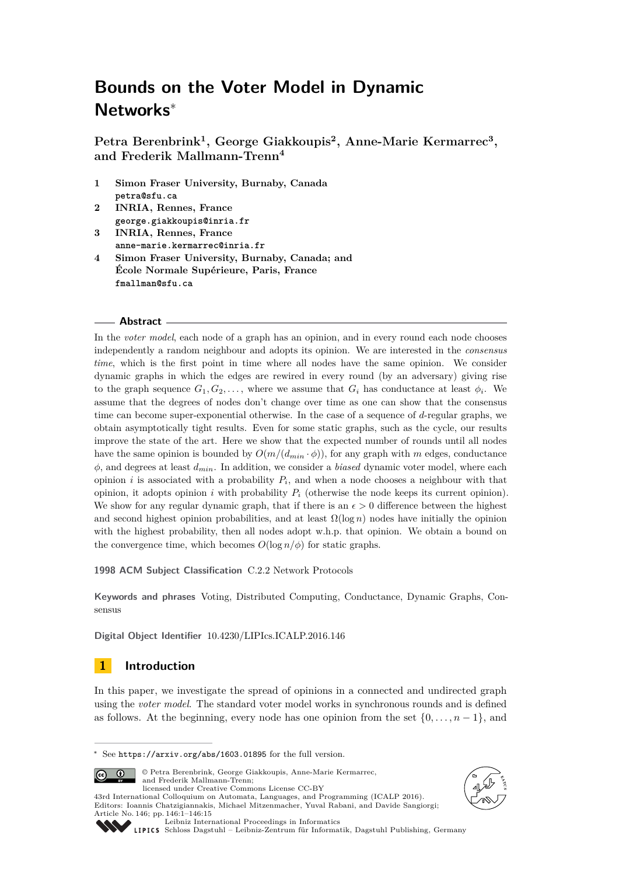# **Bounds on the Voter Model in Dynamic Networks**<sup>∗</sup>

**Petra Berenbrink<sup>1</sup> , George Giakkoupis<sup>2</sup> , Anne-Marie Kermarrec<sup>3</sup> , and Frederik Mallmann-Trenn<sup>4</sup>**

- **1 Simon Fraser University, Burnaby, Canada petra@sfu.ca**
- **2 INRIA, Rennes, France george.giakkoupis@inria.fr**
- **3 INRIA, Rennes, France anne-marie.kermarrec@inria.fr**
- **4 Simon Fraser University, Burnaby, Canada; and École Normale Supérieure, Paris, France fmallman@sfu.ca**

## **Abstract**

In the *voter model*, each node of a graph has an opinion, and in every round each node chooses independently a random neighbour and adopts its opinion. We are interested in the *consensus time*, which is the first point in time where all nodes have the same opinion. We consider dynamic graphs in which the edges are rewired in every round (by an adversary) giving rise to the graph sequence  $G_1, G_2, \ldots$ , where we assume that  $G_i$  has conductance at least  $\phi_i$ . We assume that the degrees of nodes don't change over time as one can show that the consensus time can become super-exponential otherwise. In the case of a sequence of *d*-regular graphs, we obtain asymptotically tight results. Even for some static graphs, such as the cycle, our results improve the state of the art. Here we show that the expected number of rounds until all nodes have the same opinion is bounded by  $O(m/(d_{min} \cdot \phi))$ , for any graph with *m* edges, conductance *φ*, and degrees at least *dmin*. In addition, we consider a *biased* dynamic voter model, where each opinion  $i$  is associated with a probability  $P_i$ , and when a node chooses a neighbour with that opinion, it adopts opinion *i* with probability  $P_i$  (otherwise the node keeps its current opinion). We show for any regular dynamic graph, that if there is an  $\epsilon > 0$  difference between the highest and second highest opinion probabilities, and at least  $\Omega(\log n)$  nodes have initially the opinion with the highest probability, then all nodes adopt w.h.p. that opinion. We obtain a bound on the convergence time, which becomes  $O(\log n/\phi)$  for static graphs.

**1998 ACM Subject Classification** C.2.2 Network Protocols

**Keywords and phrases** Voting, Distributed Computing, Conductance, Dynamic Graphs, Consensus

**Digital Object Identifier** [10.4230/LIPIcs.ICALP.2016.146](http://dx.doi.org/10.4230/LIPIcs.ICALP.2016.146)

## **1 Introduction**

In this paper, we investigate the spread of opinions in a connected and undirected graph using the *voter model*. The standard voter model works in synchronous rounds and is defined as follows. At the beginning, every node has one opinion from the set  $\{0, \ldots, n-1\}$ , and

<sup>∗</sup> See <https://arxiv.org/abs/1603.01895> for the full version.



© Petra Berenbrink, George Giakkoupis, Anne-Marie Kermarrec, and Frederik Mallmann-Trenn; licensed under Creative Commons License CC-BY

43rd International Colloquium on Automata, Languages, and Programming (ICALP 2016). Editors: Ioannis Chatzigiannakis, Michael Mitzenmacher, Yuval Rabani, and Davide Sangiorgi;



Article No. 146; pp. 146:1–146[:15](#page-14-0)

[Leibniz International Proceedings in Informatics](http://www.dagstuhl.de/lipics/) [Schloss Dagstuhl – Leibniz-Zentrum für Informatik, Dagstuhl Publishing, Germany](http://www.dagstuhl.de)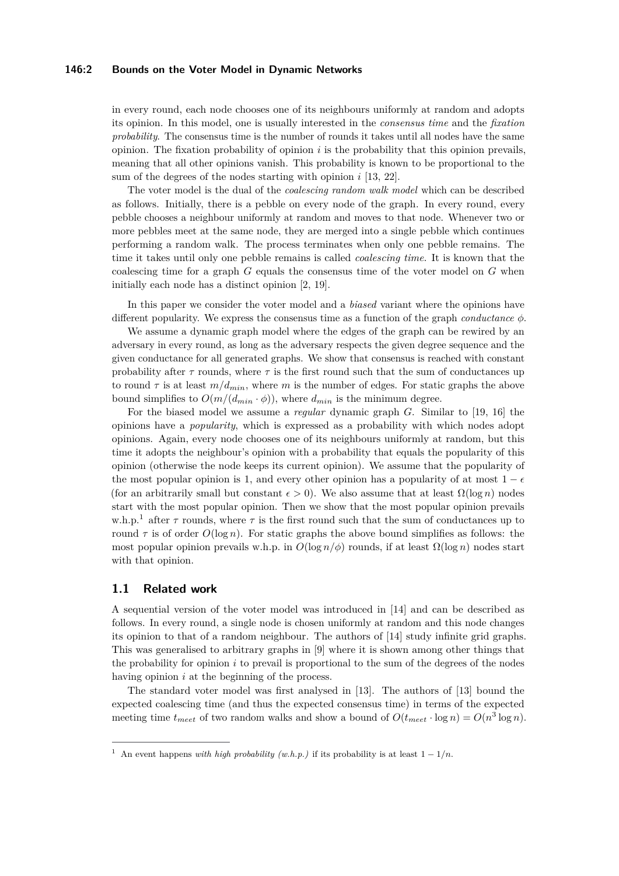#### **146:2 Bounds on the Voter Model in Dynamic Networks**

in every round, each node chooses one of its neighbours uniformly at random and adopts its opinion. In this model, one is usually interested in the *consensus time* and the *fixation probability*. The consensus time is the number of rounds it takes until all nodes have the same opinion. The fixation probability of opinion *i* is the probability that this opinion prevails, meaning that all other opinions vanish. This probability is known to be proportional to the sum of the degrees of the nodes starting with opinion *i* [\[13,](#page-13-0) [22\]](#page-14-1).

The voter model is the dual of the *coalescing random walk model* which can be described as follows. Initially, there is a pebble on every node of the graph. In every round, every pebble chooses a neighbour uniformly at random and moves to that node. Whenever two or more pebbles meet at the same node, they are merged into a single pebble which continues performing a random walk. The process terminates when only one pebble remains. The time it takes until only one pebble remains is called *coalescing time*. It is known that the coalescing time for a graph *G* equals the consensus time of the voter model on *G* when initially each node has a distinct opinion [\[2,](#page-12-0) [19\]](#page-13-1).

In this paper we consider the voter model and a *biased* variant where the opinions have different popularity. We express the consensus time as a function of the graph *conductance φ*.

We assume a dynamic graph model where the edges of the graph can be rewired by an adversary in every round, as long as the adversary respects the given degree sequence and the given conductance for all generated graphs. We show that consensus is reached with constant probability after  $\tau$  rounds, where  $\tau$  is the first round such that the sum of conductances up to round  $\tau$  is at least  $m/d_{min}$ , where *m* is the number of edges. For static graphs the above bound simplifies to  $O(m/(d_{min} \cdot \phi))$ , where  $d_{min}$  is the minimum degree.

For the biased model we assume a *regular* dynamic graph *G*. Similar to [\[19,](#page-13-1) [16\]](#page-13-2) the opinions have a *popularity*, which is expressed as a probability with which nodes adopt opinions. Again, every node chooses one of its neighbours uniformly at random, but this time it adopts the neighbour's opinion with a probability that equals the popularity of this opinion (otherwise the node keeps its current opinion). We assume that the popularity of the most popular opinion is 1, and every other opinion has a popularity of at most  $1 - \epsilon$ (for an arbitrarily small but constant  $\epsilon > 0$ ). We also assume that at least  $\Omega(\log n)$  nodes start with the most popular opinion. Then we show that the most popular opinion prevails w.h.p.<sup>[1](#page-1-0)</sup> after  $\tau$  rounds, where  $\tau$  is the first round such that the sum of conductances up to round  $\tau$  is of order  $O(\log n)$ . For static graphs the above bound simplifies as follows: the most popular opinion prevails w.h.p. in  $O(\log n/\phi)$  rounds, if at least  $\Omega(\log n)$  nodes start with that opinion.

## **1.1 Related work**

A sequential version of the voter model was introduced in [\[14\]](#page-13-3) and can be described as follows. In every round, a single node is chosen uniformly at random and this node changes its opinion to that of a random neighbour. The authors of [\[14\]](#page-13-3) study infinite grid graphs. This was generalised to arbitrary graphs in [\[9\]](#page-13-4) where it is shown among other things that the probability for opinion *i* to prevail is proportional to the sum of the degrees of the nodes having opinion *i* at the beginning of the process.

The standard voter model was first analysed in [\[13\]](#page-13-0). The authors of [\[13\]](#page-13-0) bound the expected coalescing time (and thus the expected consensus time) in terms of the expected meeting time  $t_{meet}$  of two random walks and show a bound of  $O(t_{meet} \cdot \log n) = O(n^3 \log n)$ .

<span id="page-1-0"></span><sup>&</sup>lt;sup>1</sup> An event happens *with high probability (w.h.p.)* if its probability is at least  $1 - 1/n$ .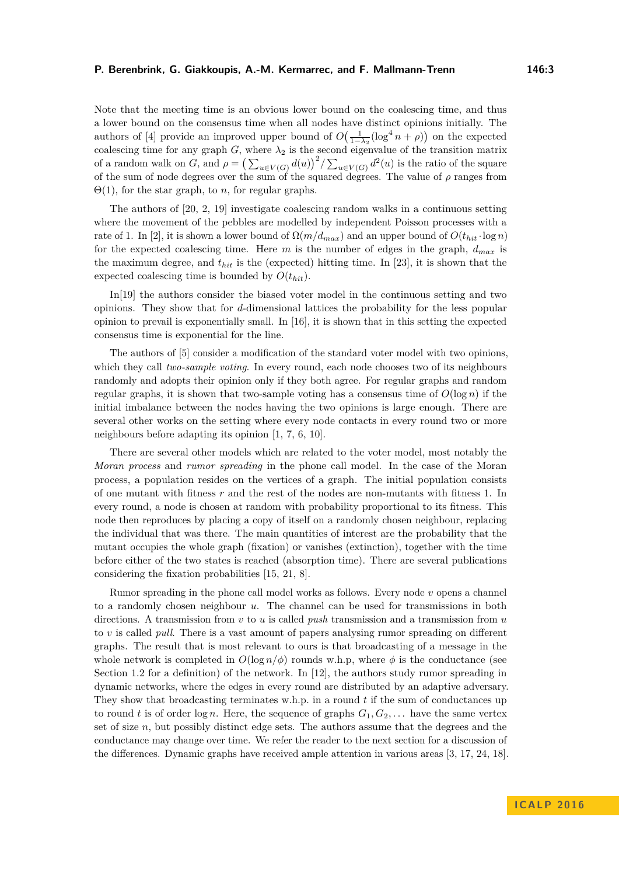Note that the meeting time is an obvious lower bound on the coalescing time, and thus a lower bound on the consensus time when all nodes have distinct opinions initially. The authors of [\[4\]](#page-13-5) provide an improved upper bound of  $O\left(\frac{1}{1-\lambda_2}(\log^4 n + \rho)\right)$  on the expected coalescing time for any graph *G*, where  $\lambda_2$  is the second eigenvalue of the transition matrix of a random walk on *G*, and  $\rho = \left(\sum_{u \in V(G)} d(u)\right)^2 / \sum_{u \in V(G)} d^2(u)$  is the ratio of the square of the sum of node degrees over the sum of the squared degrees. The value of *ρ* ranges from  $\Theta(1)$ , for the star graph, to *n*, for regular graphs.

The authors of [\[20,](#page-14-2) [2,](#page-12-0) [19\]](#page-13-1) investigate coalescing random walks in a continuous setting where the movement of the pebbles are modelled by independent Poisson processes with a rate of 1. In [\[2\]](#page-12-0), it is shown a lower bound of  $\Omega(m/d_{max})$  and an upper bound of  $O(t_{hit} \cdot \log n)$ for the expected coalescing time. Here *m* is the number of edges in the graph, *dmax* is the maximum degree, and *thit* is the (expected) hitting time. In [\[23\]](#page-14-3), it is shown that the expected coalescing time is bounded by  $O(t_{hit})$ .

In[\[19\]](#page-13-1) the authors consider the biased voter model in the continuous setting and two opinions. They show that for *d*-dimensional lattices the probability for the less popular opinion to prevail is exponentially small. In [\[16\]](#page-13-2), it is shown that in this setting the expected consensus time is exponential for the line.

The authors of [\[5\]](#page-13-6) consider a modification of the standard voter model with two opinions, which they call *two-sample voting*. In every round, each node chooses two of its neighbours randomly and adopts their opinion only if they both agree. For regular graphs and random regular graphs, it is shown that two-sample voting has a consensus time of  $O(\log n)$  if the initial imbalance between the nodes having the two opinions is large enough. There are several other works on the setting where every node contacts in every round two or more neighbours before adapting its opinion [\[1,](#page-12-1) [7,](#page-13-7) [6,](#page-13-8) [10\]](#page-13-9).

There are several other models which are related to the voter model, most notably the *Moran process* and *rumor spreading* in the phone call model. In the case of the Moran process, a population resides on the vertices of a graph. The initial population consists of one mutant with fitness *r* and the rest of the nodes are non-mutants with fitness 1. In every round, a node is chosen at random with probability proportional to its fitness. This node then reproduces by placing a copy of itself on a randomly chosen neighbour, replacing the individual that was there. The main quantities of interest are the probability that the mutant occupies the whole graph (fixation) or vanishes (extinction), together with the time before either of the two states is reached (absorption time). There are several publications considering the fixation probabilities [\[15,](#page-13-10) [21,](#page-14-4) [8\]](#page-13-11).

Rumor spreading in the phone call model works as follows. Every node *v* opens a channel to a randomly chosen neighbour *u*. The channel can be used for transmissions in both directions. A transmission from *v* to *u* is called *push* transmission and a transmission from *u* to *v* is called *pull*. There is a vast amount of papers analysing rumor spreading on different graphs. The result that is most relevant to ours is that broadcasting of a message in the whole network is completed in  $O(\log n/\phi)$  rounds w.h.p, where  $\phi$  is the conductance (see Section [1.2](#page-3-0) for a definition) of the network. In [\[12\]](#page-13-12), the authors study rumor spreading in dynamic networks, where the edges in every round are distributed by an adaptive adversary. They show that broadcasting terminates w.h.p. in a round *t* if the sum of conductances up to round t is of order  $\log n$ . Here, the sequence of graphs  $G_1, G_2, \ldots$  have the same vertex set of size *n*, but possibly distinct edge sets. The authors assume that the degrees and the conductance may change over time. We refer the reader to the next section for a discussion of the differences. Dynamic graphs have received ample attention in various areas [\[3,](#page-13-13) [17,](#page-13-14) [24,](#page-14-5) [18\]](#page-13-15).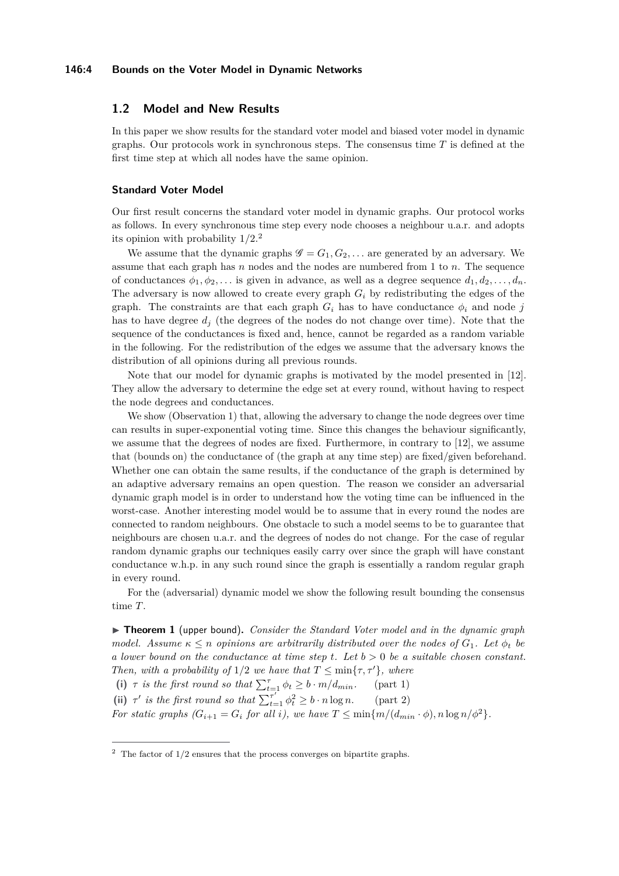#### **146:4 Bounds on the Voter Model in Dynamic Networks**

## <span id="page-3-0"></span>**1.2 Model and New Results**

In this paper we show results for the standard voter model and biased voter model in dynamic graphs. Our protocols work in synchronous steps. The consensus time *T* is defined at the first time step at which all nodes have the same opinion.

#### **Standard Voter Model**

Our first result concerns the standard voter model in dynamic graphs. Our protocol works as follows. In every synchronous time step every node chooses a neighbour u.a.r. and adopts its opinion with probability 1*/*2. [2](#page-3-1)

We assume that the dynamic graphs  $\mathscr{G} = G_1, G_2, \ldots$  are generated by an adversary. We assume that each graph has *n* nodes and the nodes are numbered from 1 to *n*. The sequence of conductances  $\phi_1, \phi_2, \ldots$  is given in advance, as well as a degree sequence  $d_1, d_2, \ldots, d_n$ . The adversary is now allowed to create every graph  $G_i$  by redistributing the edges of the graph. The constraints are that each graph  $G_i$  has to have conductance  $\phi_i$  and node *j* has to have degree  $d_j$  (the degrees of the nodes do not change over time). Note that the sequence of the conductances is fixed and, hence, cannot be regarded as a random variable in the following. For the redistribution of the edges we assume that the adversary knows the distribution of all opinions during all previous rounds.

Note that our model for dynamic graphs is motivated by the model presented in [\[12\]](#page-13-12). They allow the adversary to determine the edge set at every round, without having to respect the node degrees and conductances.

We show (Observation [1\)](#page-10-0) that, allowing the adversary to change the node degrees over time can results in super-exponential voting time. Since this changes the behaviour significantly, we assume that the degrees of nodes are fixed. Furthermore, in contrary to [\[12\]](#page-13-12), we assume that (bounds on) the conductance of (the graph at any time step) are fixed/given beforehand. Whether one can obtain the same results, if the conductance of the graph is determined by an adaptive adversary remains an open question. The reason we consider an adversarial dynamic graph model is in order to understand how the voting time can be influenced in the worst-case. Another interesting model would be to assume that in every round the nodes are connected to random neighbours. One obstacle to such a model seems to be to guarantee that neighbours are chosen u.a.r. and the degrees of nodes do not change. For the case of regular random dynamic graphs our techniques easily carry over since the graph will have constant conductance w.h.p. in any such round since the graph is essentially a random regular graph in every round.

For the (adversarial) dynamic model we show the following result bounding the consensus time *T*.

<span id="page-3-2"></span>▶ **Theorem 1** (upper bound). *Consider the Standard Voter model and in the dynamic graph model.* Assume  $\kappa \leq n$  *opinions are arbitrarily distributed over the nodes of*  $G_1$ *. Let*  $\phi_t$  *be a lower bound on the conductance at time step t. Let b >* 0 *be a suitable chosen constant. Then, with a probability of*  $1/2$  *we have that*  $T \leq \min\{\tau, \tau'\}$ *, where* 

(i)  $\tau$  *is the first round so that*  $\sum_{t=1}^{\tau} \phi_t \geq b \cdot m/d_{min}$ *.* (part 1)

(ii)  $\tau'$  is the first round so that  $\sum_{t=1}^{\tau'} \phi_t^2 \ge b \cdot n \log n$ . (part 2)

*For static graphs*  $(G_{i+1} = G_i \text{ for all } i)$ , we have  $T \leq \min\{m/(d_{min} \cdot \phi), n \log n/\phi^2\}.$ 

<span id="page-3-1"></span><sup>2</sup> The factor of 1*/*2 ensures that the process converges on bipartite graphs.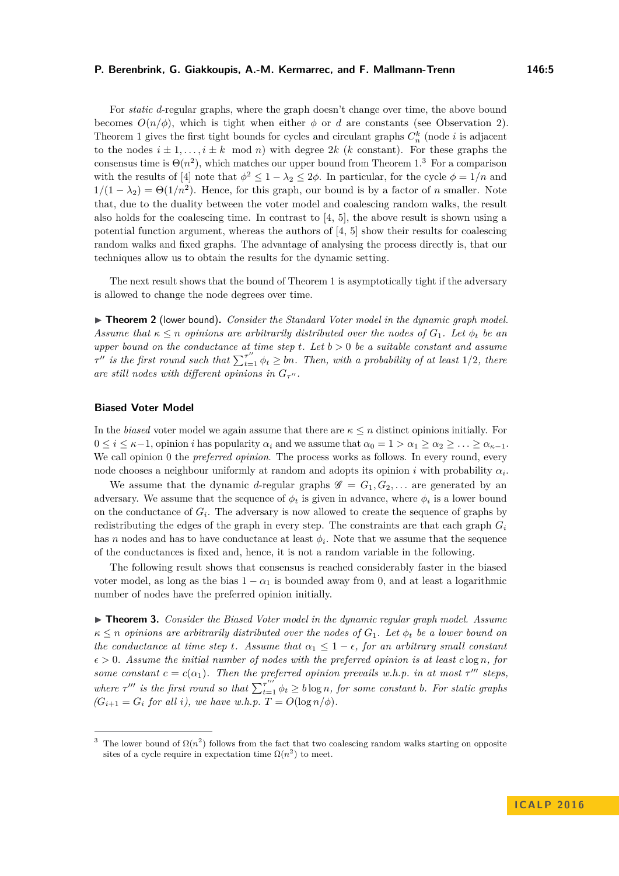For *static* d-regular graphs, where the graph doesn't change over time, the above bound becomes  $O(n/\phi)$ , which is tight when either  $\phi$  or *d* are constants (see Observation [2\)](#page-10-1). Theorem [1](#page-3-2) gives the first tight bounds for cycles and circulant graphs  $C_n^k$  (node *i* is adjacent to the nodes  $i \pm 1, \ldots, i \pm k \mod n$  with degree 2*k* (*k* constant). For these graphs the consensus time is  $\Theta(n^2)$ , which matches our upper bound from Theorem [1.](#page-3-2)<sup>[3](#page-4-0)</sup> For a comparison with the results of [\[4\]](#page-13-5) note that  $\phi^2 \leq 1 - \lambda_2 \leq 2\phi$ . In particular, for the cycle  $\phi = 1/n$  and  $1/(1 - \lambda_2) = \Theta(1/n^2)$ . Hence, for this graph, our bound is by a factor of *n* smaller. Note that, due to the duality between the voter model and coalescing random walks, the result also holds for the coalescing time. In contrast to  $[4, 5]$  $[4, 5]$  $[4, 5]$ , the above result is shown using a potential function argument, whereas the authors of  $[4, 5]$  $[4, 5]$  $[4, 5]$  show their results for coalescing random walks and fixed graphs. The advantage of analysing the process directly is, that our techniques allow us to obtain the results for the dynamic setting.

The next result shows that the bound of Theorem [1](#page-3-2) is asymptotically tight if the adversary is allowed to change the node degrees over time.

<span id="page-4-1"></span>▶ **Theorem 2** (lower bound). *Consider the Standard Voter model in the dynamic graph model. Assume that*  $\kappa \leq n$  *opinions are arbitrarily distributed over the nodes of*  $G_1$ *. Let*  $\phi_t$  *be an upper bound on the conductance at time step t. Let b >* 0 *be a suitable constant and assume*  $\tau''$  is the first round such that  $\sum_{t=1}^{\tau''} \phi_t \geq bn$ . Then, with a probability of at least 1/2, there *are still nodes with different opinions in*  $G_{\tau}$ .

#### **Biased Voter Model**

In the *biased* voter model we again assume that there are  $\kappa \leq n$  distinct opinions initially. For  $0 \leq i \leq \kappa-1$ , opinion *i* has popularity  $\alpha_i$  and we assume that  $\alpha_0 = 1 > \alpha_1 \geq \alpha_2 \geq \ldots \geq \alpha_{\kappa-1}$ . We call opinion 0 the *preferred opinion*. The process works as follows. In every round, every node chooses a neighbour uniformly at random and adopts its opinion  $i$  with probability  $\alpha_i$ .

We assume that the dynamic *d*-regular graphs  $\mathscr{G} = G_1, G_2, \ldots$  are generated by an adversary. We assume that the sequence of  $\phi_t$  is given in advance, where  $\phi_i$  is a lower bound on the conductance of  $G_i$ . The adversary is now allowed to create the sequence of graphs by redistributing the edges of the graph in every step. The constraints are that each graph *G<sup>i</sup>* has *n* nodes and has to have conductance at least  $\phi_i$ . Note that we assume that the sequence of the conductances is fixed and, hence, it is not a random variable in the following.

The following result shows that consensus is reached considerably faster in the biased voter model, as long as the bias  $1 - \alpha_1$  is bounded away from 0, and at least a logarithmic number of nodes have the preferred opinion initially.

<span id="page-4-2"></span> $\triangleright$  **Theorem 3.** *Consider the Biased Voter model in the dynamic regular graph model. Assume κ* ≤ *n opinions are arbitrarily distributed over the nodes of G*1*. Let φ<sup>t</sup> be a lower bound on the conductance at time step t. Assume that*  $\alpha_1 \leq 1 - \epsilon$ , *for an arbitrary small constant*  $\epsilon > 0$ *. Assume the initial number of nodes with the preferred opinion is at least*  $c \log n$ *, for some constant*  $c = c(\alpha_1)$ *. Then the preferred opinion prevails w.h.p. in at most*  $\tau^{\prime\prime\prime}$  *steps, where*  $\tau'''$  *is the first round so that*  $\sum_{t=1}^{\tau'''} \phi_t \geq b \log n$ *, for some constant b. For static graphs*  $(G_{i+1} = G_i \text{ for all } i), \text{ we have } w.h.p. \ T = O(\log n/\phi).$ 

<span id="page-4-0"></span><sup>&</sup>lt;sup>3</sup> The lower bound of  $\Omega(n^2)$  follows from the fact that two coalescing random walks starting on opposite sites of a cycle require in expectation time  $\Omega(n^2)$  to meet.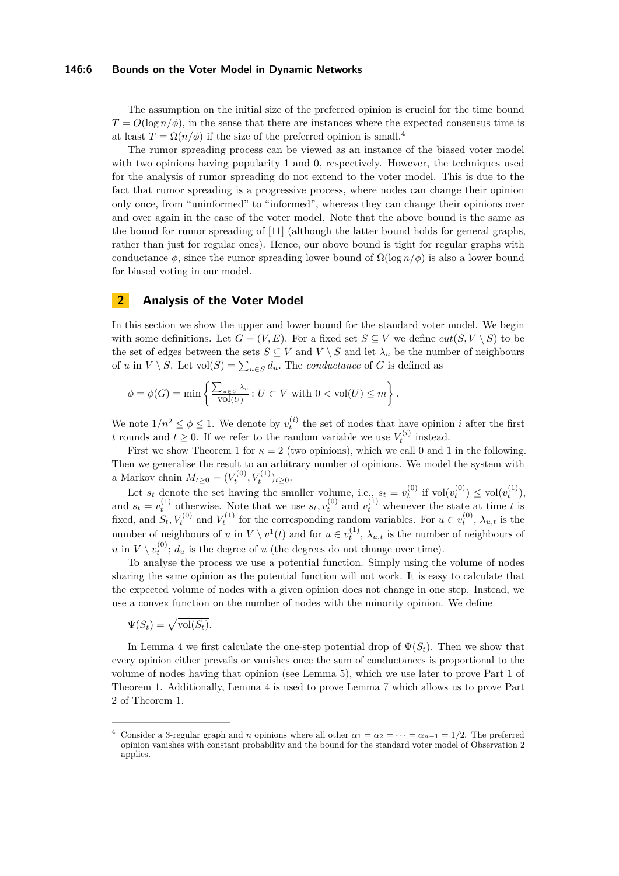#### **146:6 Bounds on the Voter Model in Dynamic Networks**

The assumption on the initial size of the preferred opinion is crucial for the time bound  $T = O(\log n/\phi)$ , in the sense that there are instances where the expected consensus time is at least  $T = \Omega(n/\phi)$  if the size of the preferred opinion is small.<sup>[4](#page-5-0)</sup>

The rumor spreading process can be viewed as an instance of the biased voter model with two opinions having popularity 1 and 0, respectively. However, the techniques used for the analysis of rumor spreading do not extend to the voter model. This is due to the fact that rumor spreading is a progressive process, where nodes can change their opinion only once, from "uninformed" to "informed", whereas they can change their opinions over and over again in the case of the voter model. Note that the above bound is the same as the bound for rumor spreading of [\[11\]](#page-13-16) (although the latter bound holds for general graphs, rather than just for regular ones). Hence, our above bound is tight for regular graphs with conductance  $\phi$ , since the rumor spreading lower bound of  $\Omega(\log n/\phi)$  is also a lower bound for biased voting in our model.

## **2 Analysis of the Voter Model**

In this section we show the upper and lower bound for the standard voter model. We begin with some definitions. Let  $G = (V, E)$ . For a fixed set  $S \subseteq V$  we define  $cut(S, V \setminus S)$  to be the set of edges between the sets  $S \subseteq V$  and  $V \setminus S$  and let  $\lambda_u$  be the number of neighbours of *u* in  $V \setminus S$ . Let vol $(S) = \sum_{u \in S} d_u$ . The *conductance* of *G* is defined as

$$
\phi = \phi(G) = \min \left\{ \frac{\sum_{u \in U} \lambda_u}{\text{vol}(U)} : U \subset V \text{ with } 0 < \text{vol}(U) \leq m \right\}.
$$

We note  $1/n^2 \le \phi \le 1$ . We denote by  $v_t^{(i)}$  the set of nodes that have opinion *i* after the first *t* rounds and  $t \geq 0$ . If we refer to the random variable we use  $V_t^{(i)}$  instead.

First we show Theorem [1](#page-3-2) for  $\kappa = 2$  (two opinions), which we call 0 and 1 in the following. Then we generalise the result to an arbitrary number of opinions. We model the system with a Markov chain  $M_{t\geq 0} = (V_t^{(0)}, V_t^{(1)})_{t\geq 0}$ .

Let  $s_t$  denote the set having the smaller volume, i.e.,  $s_t = v_t^{(0)}$  if  $vol(v_t^{(0)}) \leq vol(v_t^{(1)})$ , and  $s_t = v_t^{(1)}$  otherwise. Note that we use  $s_t, v_t^{(0)}$  and  $v_t^{(1)}$  whenever the state at time *t* is fixed, and  $S_t$ ,  $V_t^{(0)}$  and  $V_t^{(1)}$  for the corresponding random variables. For  $u \in v_t^{(0)}$ ,  $\lambda_{u,t}$  is the number of neighbours of *u* in  $V \setminus v^1(t)$  and for  $u \in v_t^{(1)}$ ,  $\lambda_{u,t}$  is the number of neighbours of *u* in  $V \setminus v_t^{(0)}$ ;  $d_u$  is the degree of *u* (the degrees do not change over time).

To analyse the process we use a potential function. Simply using the volume of nodes sharing the same opinion as the potential function will not work. It is easy to calculate that the expected volume of nodes with a given opinion does not change in one step. Instead, we use a convex function on the number of nodes with the minority opinion. We define

 $\Psi(S_t) = \sqrt{\text{vol}(S_t)}$ .

In Lemma [4](#page-6-0) we first calculate the one-step potential drop of  $\Psi(S_t)$ . Then we show that every opinion either prevails or vanishes once the sum of conductances is proportional to the volume of nodes having that opinion (see Lemma [5\)](#page-7-0), which we use later to prove Part 1 of Theorem [1.](#page-3-2) Additionally, Lemma [4](#page-6-0) is used to prove Lemma [7](#page-9-0) which allows us to prove Part 2 of Theorem [1.](#page-3-2)

<span id="page-5-0"></span>Consider a 3-regular graph and *n* opinions where all other  $\alpha_1 = \alpha_2 = \cdots = \alpha_{n-1} = 1/2$ . The preferred opinion vanishes with constant probability and the bound for the standard voter model of Observation [2](#page-10-1) applies.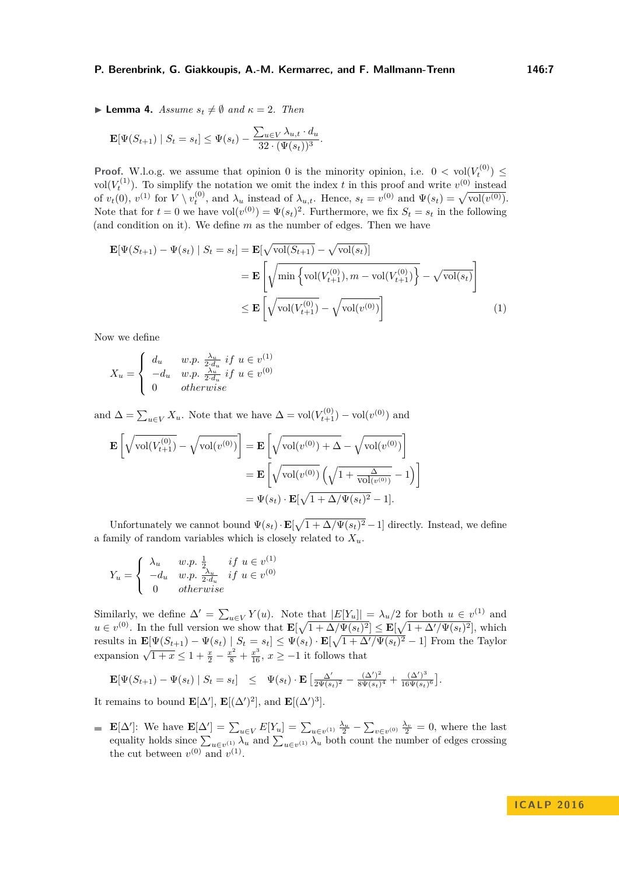<span id="page-6-0"></span>**I Lemma 4.** *Assume*  $s_t \neq \emptyset$  *and*  $\kappa = 2$ *. Then* 

$$
\mathbf{E}[\Psi(S_{t+1}) \mid S_t = s_t] \leq \Psi(s_t) - \frac{\sum_{u \in V} \lambda_{u,t} \cdot d_u}{32 \cdot (\Psi(s_t))^3}.
$$

**Proof.** W.l.o.g. we assume that opinion 0 is the minority opinion, i.e.  $0 < \text{vol}(V_t^{(0)}) \le$ vol $(V_t^{(1)})$ . To simplify the notation we omit the index *t* in this proof and write  $v^{(0)}$  instead of  $v_t(0)$ ,  $v^{(1)}$  for  $V \setminus v_t^{(0)}$ , and  $\lambda_u$  instead of  $\lambda_{u,t}$ . Hence,  $s_t = v^{(0)}$  and  $\Psi(s_t) = \sqrt{\text{vol}(v^{(0)})}$ . Note that for  $t = 0$  we have  $vol(v^{(0)}) = \Psi(s_t)^2$ . Furthermore, we fix  $S_t = s_t$  in the following (and condition on it). We define *m* as the number of edges. Then we have

$$
\mathbf{E}[\Psi(S_{t+1}) - \Psi(s_t) | S_t = s_t] = \mathbf{E}[\sqrt{\text{vol}(S_{t+1})} - \sqrt{\text{vol}(s_t)}]
$$

$$
= \mathbf{E}\left[\sqrt{\min\left\{\text{vol}(V_{t+1}^{(0)}), m - \text{vol}(V_{t+1}^{(0)})\right\}} - \sqrt{\text{vol}(s_t)}\right]
$$

$$
\leq \mathbf{E}\left[\sqrt{\text{vol}(V_{t+1}^{(0)})} - \sqrt{\text{vol}(v^{(0)})}\right]
$$
(1)

Now we define

$$
X_u = \begin{cases} d_u & w.p. \frac{\lambda_u}{2 \cdot d_u} \text{ if } u \in v^{(1)} \\ -d_u & w.p. \frac{\lambda_u}{2 \cdot d_u} \text{ if } u \in v^{(0)} \\ 0 & otherwise \end{cases}
$$

and  $\Delta = \sum_{u \in V} X_u$ . Note that we have  $\Delta = \text{vol}(V_{t+1}^{(0)}) - \text{vol}(v^{(0)})$  and

$$
\mathbf{E}\left[\sqrt{\text{vol}(V_{t+1}^{(0)})} - \sqrt{\text{vol}(v^{(0)})}\right] = \mathbf{E}\left[\sqrt{\text{vol}(v^{(0)}) + \Delta} - \sqrt{\text{vol}(v^{(0)})}\right]
$$

$$
= \mathbf{E}\left[\sqrt{\text{vol}(v^{(0)})}\left(\sqrt{1 + \frac{\Delta}{\text{vol}(v^{(0)})}} - 1\right)\right]
$$

$$
= \Psi(s_t) \cdot \mathbf{E}[\sqrt{1 + \Delta/\Psi(s_t)^2} - 1].
$$

Unfortunately we cannot bound  $\Psi(s_t) \cdot \mathbf{E}[\sqrt{1 + \Delta/\Psi(s_t)^2} - 1]$  directly. Instead, we define a family of random variables which is closely related to *Xu*.

$$
Y_u = \begin{cases} \lambda_u & w.p. \frac{1}{2} & if \ u \in v^{(1)} \\ -d_u & w.p. \frac{\lambda_u}{2 \cdot d_u} & if \ u \in v^{(0)} \\ 0 & otherwise \end{cases}
$$

Similarly, we define  $\Delta' = \sum_{u \in V} Y(u)$ . Note that  $|E[Y_u]| = \lambda_u/2$  for both  $u \in v^{(1)}$  and  $u \in v^{(0)}$ . In the full version we show that  $\mathbf{E}[\sqrt{1 + \Delta/\Psi(s_t)^2}] \leq \mathbf{E}[\sqrt{1 + \Delta'/\Psi(s_t)^2}]$ , which results in  $\mathbf{E}[\Psi(S_{t+1}) - \Psi(s_t) | S_t = s_t] \leq \Psi(s_t) \cdot \mathbf{E}[\sqrt{1 + \Delta'/\Psi(s_t)^2} - 1]$  From the Taylor expansion  $\sqrt{1 + x} \leq 1 + \frac{x}{2} - \frac{x^2}{8} + \frac{x^3}{16}$ ,  $x \geq -1$  it follows that

$$
\mathbf{E}[\Psi(S_{t+1}) - \Psi(s_t) | S_t = s_t] \leq \Psi(s_t) \cdot \mathbf{E} \left[ \frac{\Delta'}{2\Psi(s_t)^2} - \frac{(\Delta')^2}{8\Psi(s_t)^4} + \frac{(\Delta')^3}{16\Psi(s_t)^6} \right].
$$

It remains to bound  $\mathbf{E}[\Delta'], \mathbf{E}[(\Delta')^2],$  and  $\mathbf{E}[(\Delta')^3]$ .

**E**[ $\Delta'$ ]: We have **E**[ $\Delta'$ ] =  $\sum_{u \in V} E[Y_u] = \sum_{u \in v^{(1)}} \frac{\lambda_u}{2} - \sum_{v \in v^{(0)}} \frac{\lambda_v}{2} = 0$ , where the last equality holds since  $\sum_{u\in v^{(1)}} \lambda_u$  and  $\sum_{u\in v^{(1)}} \lambda_u$  both count the number of edges crossing the cut between  $v^{(0)}$  and  $v^{(1)}$ .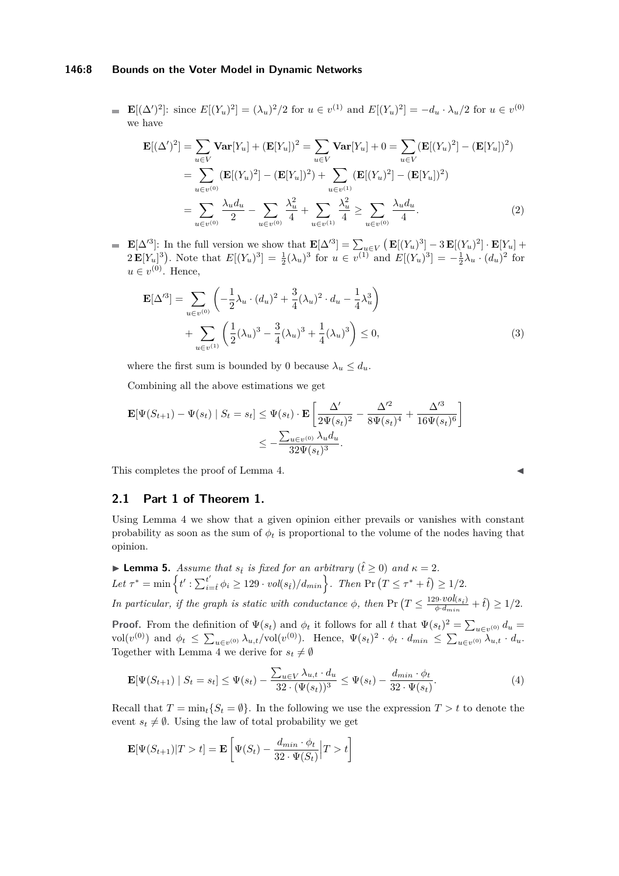#### **146:8 Bounds on the Voter Model in Dynamic Networks**

 $\mathbf{E}[(\Delta')^2]$ : since  $E[(Y_u)^2] = (\lambda_u)^2/2$  for  $u \in v^{(1)}$  and  $E[(Y_u)^2] = -d_u \cdot \lambda_u/2$  for  $u \in v^{(0)}$ we have

$$
\mathbf{E}[(\Delta')^2] = \sum_{u \in V} \mathbf{Var}[Y_u] + (\mathbf{E}[Y_u])^2 = \sum_{u \in V} \mathbf{Var}[Y_u] + 0 = \sum_{u \in V} (\mathbf{E}[(Y_u)^2] - (\mathbf{E}[Y_u])^2)
$$
  
\n
$$
= \sum_{u \in v^{(0)}} (\mathbf{E}[(Y_u)^2] - (\mathbf{E}[Y_u])^2) + \sum_{u \in v^{(1)}} (\mathbf{E}[(Y_u)^2] - (\mathbf{E}[Y_u])^2)
$$
  
\n
$$
= \sum_{u \in v^{(0)}} \frac{\lambda_u d_u}{2} - \sum_{u \in v^{(0)}} \frac{\lambda_u^2}{4} + \sum_{u \in v^{(1)}} \frac{\lambda_u^2}{4} \ge \sum_{u \in v^{(0)}} \frac{\lambda_u d_u}{4}. \tag{2}
$$

**E**[ $\Delta^{3}$ ]: In the full version we show that  $\mathbf{E}[\Delta^{3}] = \sum_{u \in V} (\mathbf{E}[(Y_u)^3] - 3\mathbf{E}[(Y_u)^2] \cdot \mathbf{E}[Y_u] +$  $2\mathbf{E}[Y_u]^3$ ). Note that  $E[(Y_u)^3] = \frac{1}{2}(\lambda_u)^3$  for  $u \in v^{(1)}$  and  $E[(Y_u)^3] = -\frac{1}{2}\lambda_u \cdot (d_u)^2$  for  $u \in v^{(0)}$ . Hence,

$$
\mathbf{E}[\Delta^{2}] = \sum_{u \in v^{(0)}} \left( -\frac{1}{2} \lambda_u \cdot (d_u)^2 + \frac{3}{4} (\lambda_u)^2 \cdot d_u - \frac{1}{4} \lambda_u^3 \right) + \sum_{u \in v^{(1)}} \left( \frac{1}{2} (\lambda_u)^3 - \frac{3}{4} (\lambda_u)^3 + \frac{1}{4} (\lambda_u)^3 \right) \le 0,
$$
\n(3)

where the first sum is bounded by 0 because  $\lambda_u \leq d_u$ .

Combining all the above estimations we get

$$
\mathbf{E}[\Psi(S_{t+1}) - \Psi(s_t) | S_t = s_t] \leq \Psi(s_t) \cdot \mathbf{E} \left[ \frac{\Delta'}{2\Psi(s_t)^2} - \frac{\Delta'^2}{8\Psi(s_t)^4} + \frac{\Delta'^3}{16\Psi(s_t)^6} \right] \leq -\frac{\sum_{u \in v^{(0)}} \lambda_u d_u}{32\Psi(s_t)^3}.
$$

This completes the proof of Lemma [4.](#page-6-0)

## **2.1 Part 1 of Theorem [1.](#page-3-2)**

Using Lemma [4](#page-6-0) we show that a given opinion either prevails or vanishes with constant probability as soon as the sum of  $\phi_t$  is proportional to the volume of the nodes having that opinion.

<span id="page-7-0"></span>**► Lemma 5.** *Assume that*  $s_i$  *is fixed for an arbitrary*  $(\hat{t} \geq 0)$  *and*  $\kappa = 2$ *.*  $Let \tau^* = \min \left\{ t' : \sum_{i=\hat{t}}^{t'} \phi_i \geq 129 \cdot vol(s_{\hat{t}})/d_{min} \right\}.$  Then  $Pr(T \leq \tau^* + \hat{t}) \geq 1/2$ .

*In particular, if the graph is static with conductance*  $\phi$ *, then*  $Pr(T \leq \frac{129 \cdot vol(s_i)}{\phi \cdot d_{min}} + \hat{t}) \geq 1/2$ *.* 

**Proof.** From the definition of  $\Psi(s_t)$  and  $\phi_t$  it follows for all *t* that  $\Psi(s_t)^2 = \sum_{u \in v^{(0)}} d_u$ vol $(v^{(0)})$  and  $\phi_t \leq \sum_{u \in v^{(0)}} \lambda_{u,t}/\text{vol}(v^{(0)})$ . Hence,  $\Psi(s_t)^2 \cdot \phi_t \cdot d_{min} \leq \sum_{u \in v^{(0)}} \lambda_{u,t} \cdot d_u$ . Together with Lemma [4](#page-6-0) we derive for  $s_t \neq \emptyset$ 

$$
\mathbf{E}[\Psi(S_{t+1}) \mid S_t = s_t] \le \Psi(s_t) - \frac{\sum_{u \in V} \lambda_{u,t} \cdot d_u}{32 \cdot (\Psi(s_t))^3} \le \Psi(s_t) - \frac{d_{min} \cdot \phi_t}{32 \cdot \Psi(s_t)}.
$$
\n
$$
(4)
$$

Recall that  $T = \min_{t} \{S_t = \emptyset\}$ . In the following we use the expression  $T > t$  to denote the event  $s_t \neq \emptyset$ . Using the law of total probability we get

$$
\mathbf{E}[\Psi(S_{t+1})|T>t] = \mathbf{E}\left[\Psi(S_t) - \frac{d_{min} \cdot \phi_t}{32 \cdot \Psi(S_t)}\Big|T>t\right]
$$

| × |  |
|---|--|
|   |  |
|   |  |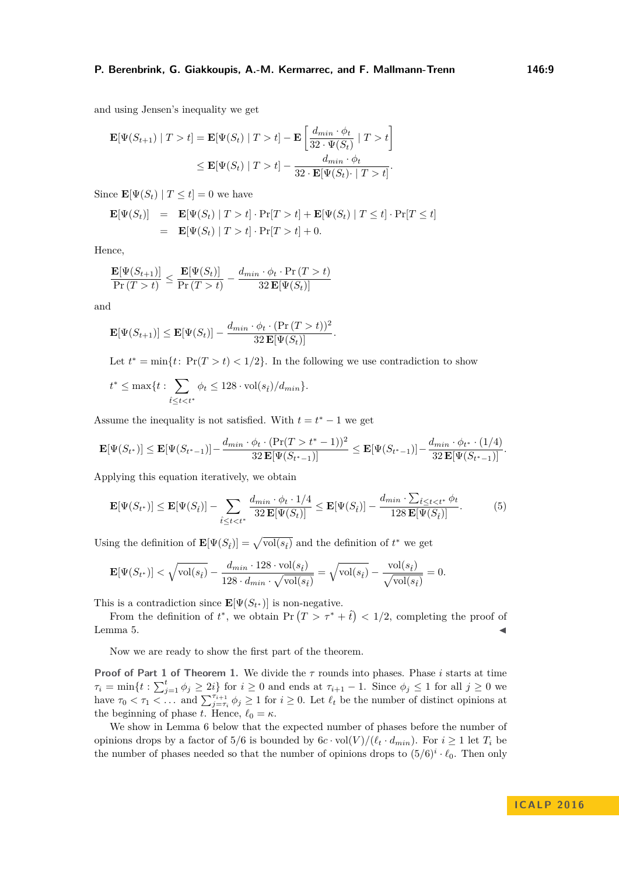and using Jensen's inequality we get

$$
\mathbf{E}[\Psi(S_{t+1}) | T > t] = \mathbf{E}[\Psi(S_t) | T > t] - \mathbf{E}\left[\frac{d_{min} \cdot \phi_t}{32 \cdot \Psi(S_t)} | T > t\right]
$$
  

$$
\leq \mathbf{E}[\Psi(S_t) | T > t] - \frac{d_{min} \cdot \phi_t}{32 \cdot \mathbf{E}[\Psi(S_t) | T > t]}.
$$

Since  $\mathbf{E}[\Psi(S_t) | T \leq t] = 0$  we have

$$
\mathbf{E}[\Psi(S_t)] = \mathbf{E}[\Psi(S_t) | T > t] \cdot \Pr[T > t] + \mathbf{E}[\Psi(S_t) | T \le t] \cdot \Pr[T \le t]
$$
  
= 
$$
\mathbf{E}[\Psi(S_t) | T > t] \cdot \Pr[T > t] + 0.
$$

Hence,

$$
\frac{\mathbf{E}[\Psi(S_{t+1})]}{\Pr(T > t)} \le \frac{\mathbf{E}[\Psi(S_t)]}{\Pr(T > t)} - \frac{d_{min} \cdot \phi_t \cdot \Pr(T > t)}{32 \mathbf{E}[\Psi(S_t)]}
$$

and

$$
\mathbf{E}[\Psi(S_{t+1})] \leq \mathbf{E}[\Psi(S_t)] - \frac{d_{min} \cdot \phi_t \cdot (\Pr(T > t))^2}{32 \mathbf{E}[\Psi(S_t)]}.
$$

Let  $t^* = \min\{t: \Pr(T > t) < 1/2\}$ . In the following we use contradiction to show

$$
t^* \le \max\{t : \sum_{\hat{t} \le t < t^*} \phi_t \le 128 \cdot \text{vol}(s_{\hat{t}}) / d_{min}\}.
$$

Assume the inequality is not satisfied. With  $t = t^* - 1$  we get

$$
\mathbf{E}[\Psi(S_{t^*})] \leq \mathbf{E}[\Psi(S_{t^*-1})] - \frac{d_{min} \cdot \phi_t \cdot (\Pr(T > t^* - 1))^2}{32 \mathbf{E}[\Psi(S_{t^*-1})]} \leq \mathbf{E}[\Psi(S_{t^*-1})] - \frac{d_{min} \cdot \phi_{t^*} \cdot (1/4)}{32 \mathbf{E}[\Psi(S_{t^*-1})]}.
$$

Applying this equation iteratively, we obtain

$$
\mathbf{E}[\Psi(S_{t^*})] \le \mathbf{E}[\Psi(S_{\hat{t}})] - \sum_{\hat{t} \le t < t^*} \frac{d_{min} \cdot \phi_t \cdot 1/4}{32 \mathbf{E}[\Psi(S_t)]} \le \mathbf{E}[\Psi(S_{\hat{t}})] - \frac{d_{min} \cdot \sum_{\hat{t} \le t < t^*} \phi_t}{128 \mathbf{E}[\Psi(S_{\hat{t}})]}. \tag{5}
$$

Using the definition of  $\mathbf{E}[\Psi(S_i)] = \sqrt{\text{vol}(s_i)}$  and the definition of  $t^*$  we get

$$
\mathbf{E}[\Psi(S_{t^*})] < \sqrt{\text{vol}(s_{\hat{t}})} - \frac{d_{min} \cdot 128 \cdot \text{vol}(s_{\hat{t}})}{128 \cdot d_{min} \cdot \sqrt{\text{vol}(s_{\hat{t}})}} = \sqrt{\text{vol}(s_{\hat{t}})} - \frac{\text{vol}(s_{\hat{t}})}{\sqrt{\text{vol}(s_{\hat{t}})}} = 0.
$$

This is a contradiction since  $\mathbf{E}[\Psi(S_{t^*})]$  is non-negative.

From the definition of  $t^*$ , we obtain  $Pr(T > \tau^* + \hat{t}) < 1/2$ , completing the proof of Lemma [5.](#page-7-0)  $\triangleleft$ 

Now we are ready to show the first part of the theorem.

**Proof of Part 1 of Theorem [1.](#page-3-2)** We divide the *τ* rounds into phases. Phase *i* starts at time  $\tau_i = \min\{t : \sum_{j=1}^t \phi_j \geq 2i\}$  for  $i \geq 0$  and ends at  $\tau_{i+1} - 1$ . Since  $\phi_j \leq 1$  for all  $j \geq 0$  we have  $\tau_0 < \tau_1 < \dots$  and  $\sum_{j=\tau_i}^{\tau_{i+1}} \phi_j \geq 1$  for  $i \geq 0$ . Let  $\ell_t$  be the number of distinct opinions at the beginning of phase *t*. Hence,  $\ell_0 = \kappa$ .

We show in Lemma [6](#page-9-1) below that the expected number of phases before the number of opinions drops by a factor of 5/6 is bounded by  $6c \cdot \text{vol}(V) / (\ell_t \cdot d_{min})$ . For  $i \geq 1$  let  $T_i$  be the number of phases needed so that the number of opinions drops to  $(5/6)^i \cdot \ell_0$ . Then only

**I C A L P 2 0 1 6**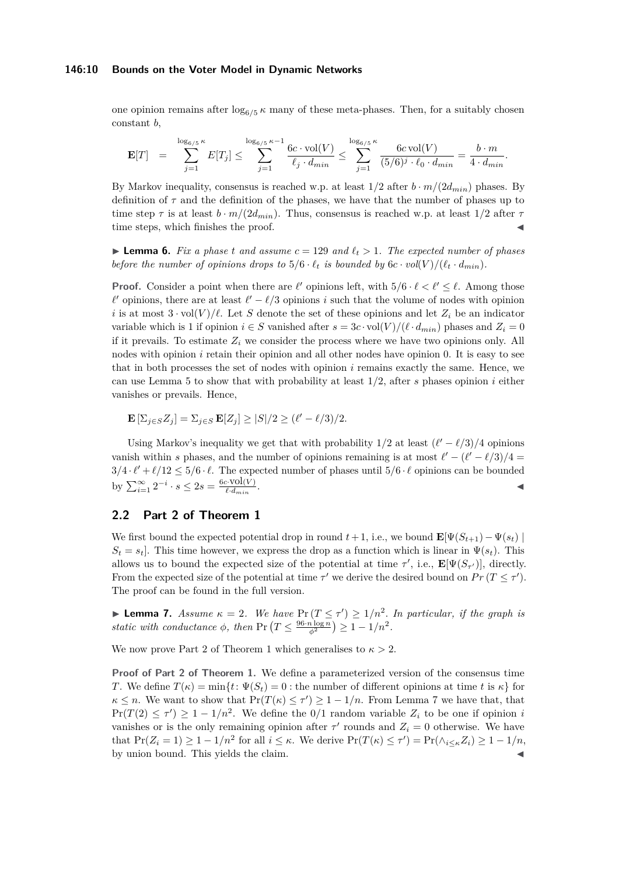#### **146:10 Bounds on the Voter Model in Dynamic Networks**

one opinion remains after  $\log_{6/5} \kappa$  many of these meta-phases. Then, for a suitably chosen constant *b*,

$$
\mathbf{E}[T] = \sum_{j=1}^{\log_{6/5} \kappa} E[T_j] \le \sum_{j=1}^{\log_{6/5} \kappa} \frac{6c \cdot \text{vol}(V)}{\ell_j \cdot d_{min}} \le \sum_{j=1}^{\log_{6/5} \kappa} \frac{6c \cdot \text{vol}(V)}{(5/6)^j \cdot \ell_0 \cdot d_{min}} = \frac{b \cdot m}{4 \cdot d_{min}}.
$$

By Markov inequality, consensus is reached w.p. at least  $1/2$  after  $b \cdot m/(2d_{min})$  phases. By definition of  $\tau$  and the definition of the phases, we have that the number of phases up to time step  $\tau$  is at least  $b \cdot m/(2d_{min})$ . Thus, consensus is reached w.p. at least  $1/2$  after  $\tau$ time steps, which finishes the proof.

<span id="page-9-1"></span>**Example 1. Lemma 6.** Fix a phase *t* and assume  $c = 129$  and  $\ell_t > 1$ . The expected number of phases *before the number of opinions drops to*  $5/6 \cdot \ell_t$  *is bounded by*  $6c \cdot vol(V)/(\ell_t \cdot d_{min})$ *.* 

**Proof.** Consider a point when there are  $\ell'$  opinions left, with  $5/6 \cdot \ell < \ell' \leq \ell$ . Among those  $\ell'$  opinions, there are at least  $\ell' - \ell/3$  opinions *i* such that the volume of nodes with opinion *i* is at most  $3 \cdot \text{vol}(V)/\ell$ . Let *S* denote the set of these opinions and let  $Z_i$  be an indicator variable which is 1 if opinion  $i \in S$  vanished after  $s = 3c \cdot \text{vol}(V) / (\ell \cdot d_{min})$  phases and  $Z_i = 0$ if it prevails. To estimate  $Z_i$  we consider the process where we have two opinions only. All nodes with opinion *i* retain their opinion and all other nodes have opinion 0. It is easy to see that in both processes the set of nodes with opinion *i* remains exactly the same. Hence, we can use Lemma [5](#page-7-0) to show that with probability at least 1*/*2, after *s* phases opinion *i* either vanishes or prevails. Hence,

$$
\mathbf{E}\left[\sum_{j\in S}Z_j\right] = \sum_{j\in S}\mathbf{E}[Z_j] \ge |S|/2 \ge (\ell'-\ell/3)/2.
$$

Using Markov's inequality we get that with probability  $1/2$  at least  $(\ell' - \ell/3)/4$  opinions vanish within *s* phases, and the number of opinions remaining is at most  $\ell' - (\ell' - \ell/3)/4 =$  $3/4 \cdot \ell' + \ell/12 \le 5/6 \cdot \ell$ . The expected number of phases until  $5/6 \cdot \ell$  opinions can be bounded by  $\sum_{i=1}^{\infty} 2^{-i} \cdot s \leq 2s = \frac{6c \cdot \text{vol}(V)}{\ell \cdot d_{min}}$  $l \cdot d_{min}$ *.* J

#### **2.2 Part 2 of Theorem [1](#page-3-2)**

We first bound the expected potential drop in round  $t + 1$ , i.e., we bound  $\mathbf{E}[\Psi(S_{t+1}) - \Psi(s_t)]$  $S_t = s_t$ . This time however, we express the drop as a function which is linear in  $\Psi(s_t)$ . This allows us to bound the expected size of the potential at time  $\tau'$ , i.e.,  $\mathbf{E}[\Psi(S_{\tau'})]$ , directly. From the expected size of the potential at time  $\tau'$  we derive the desired bound on  $Pr(T \leq \tau')$ . The proof can be found in the full version.

<span id="page-9-0"></span>**Lemma 7.** Assume  $\kappa = 2$ . We have  $\Pr(T \leq \tau') \geq 1/n^2$ . In particular, if the graph is *static with conductance*  $\phi$ *, then*  $\Pr(T \leq \frac{96 \cdot n \log n}{\phi^2}) \geq 1 - 1/n^2$ *.* 

We now prove Part 2 of Theorem [1](#page-3-2) which generalises to  $\kappa > 2$ .

**Proof of Part 2 of Theorem [1.](#page-3-2)** We define a parameterized version of the consensus time *T*. We define  $T(\kappa) = \min\{t : \Psi(S_t) = 0 : \text{the number of different opinions at time } t \text{ is } \kappa\}$  for  $\kappa \leq n$ . We want to show that  $Pr(T(\kappa) \leq \tau') \geq 1 - 1/n$ . From Lemma [7](#page-9-0) we have that, that  $Pr(T(2) \leq \tau') \geq 1 - 1/n^2$ . We define the 0/1 random variable  $Z_i$  to be one if opinion *i* vanishes or is the only remaining opinion after  $\tau'$  rounds and  $Z_i = 0$  otherwise. We have that  $Pr(Z_i = 1) \geq 1 - 1/n^2$  for all  $i \leq \kappa$ . We derive  $Pr(T(\kappa) \leq \tau') = Pr(\lambda_{i \leq \kappa} Z_i) \geq 1 - 1/n$ , by union bound. This yields the claim.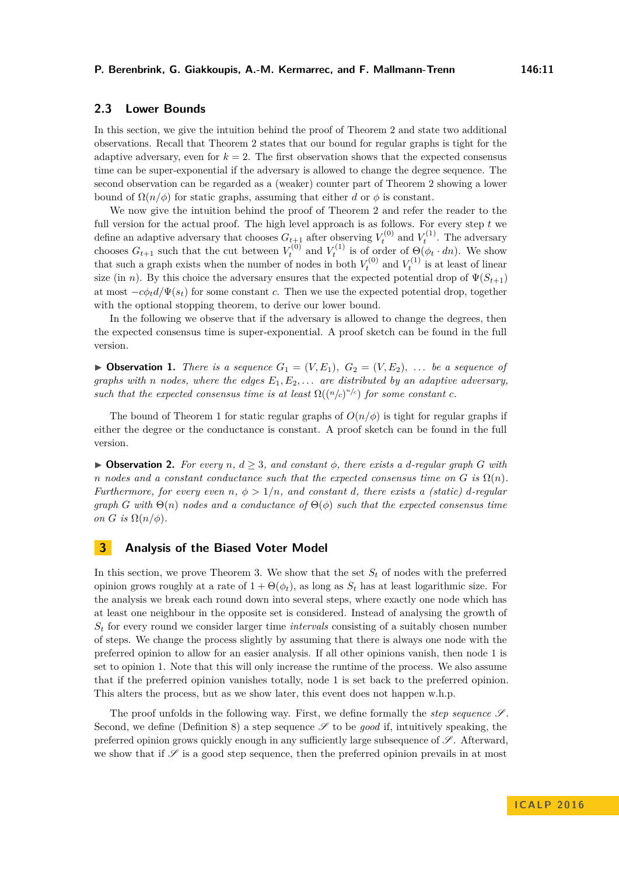## **2.3 Lower Bounds**

In this section, we give the intuition behind the proof of Theorem [2](#page-4-1) and state two additional observations. Recall that Theorem [2](#page-4-1) states that our bound for regular graphs is tight for the adaptive adversary, even for  $k = 2$ . The first observation shows that the expected consensus time can be super-exponential if the adversary is allowed to change the degree sequence. The second observation can be regarded as a (weaker) counter part of Theorem [2](#page-4-1) showing a lower bound of  $\Omega(n/\phi)$  for static graphs, assuming that either *d* or  $\phi$  is constant.

We now give the intuition behind the proof of Theorem [2](#page-4-1) and refer the reader to the full version for the actual proof. The high level approach is as follows. For every step *t* we define an adaptive adversary that chooses  $G_{t+1}$  after observing  $V_t^{(0)}$  and  $V_t^{(1)}$ . The adversary chooses  $G_{t+1}$  such that the cut between  $V_t^{(0)}$  and  $V_t^{(1)}$  is of order of  $\Theta(\phi_t \cdot dn)$ . We show that such a graph exists when the number of nodes in both  $V_t^{(0)}$  and  $V_t^{(1)}$  is at least of linear size (in *n*). By this choice the adversary ensures that the expected potential drop of  $\Psi(S_{t+1})$ at most  $-c\phi_t d/\Psi(s_t)$  for some constant *c*. Then we use the expected potential drop, together with the optional stopping theorem, to derive our lower bound.

In the following we observe that if the adversary is allowed to change the degrees, then the expected consensus time is super-exponential. A proof sketch can be found in the full version.

<span id="page-10-0"></span> $\triangleright$  **Observation 1.** *There is a sequence*  $G_1 = (V, E_1)$ *,*  $G_2 = (V, E_2)$ *, ... be a sequence of graphs with n nodes, where the edges*  $E_1, E_2, \ldots$  *are distributed by an adaptive adversary, such that the expected consensus time is at least*  $\Omega((n/c)^{n/c})$  *for some constant c.* 

The bound of Theorem [1](#page-3-2) for static regular graphs of  $O(n/\phi)$  is tight for regular graphs if either the degree or the conductance is constant. A proof sketch can be found in the full version.

<span id="page-10-1"></span> $\triangleright$  **Observation 2.** For every *n*,  $d \geq 3$ , and constant  $\phi$ , there exists a *d*-regular graph *G* with *n* nodes and a constant conductance such that the expected consensus time on  $G$  is  $\Omega(n)$ . *Furthermore, for every even*  $n, \phi > 1/n$ , and constant *d, there exists a (static) d*-regular *graph G with*  $\Theta(n)$  *nodes and a conductance of*  $\Theta(\phi)$  *such that the expected consensus time on G is*  $\Omega(n/\phi)$ *.* 

#### **3 Analysis of the Biased Voter Model**

In this section, we prove Theorem [3.](#page-4-2) We show that the set  $S_t$  of nodes with the preferred opinion grows roughly at a rate of  $1 + \Theta(\phi_t)$ , as long as  $S_t$  has at least logarithmic size. For the analysis we break each round down into several steps, where exactly one node which has at least one neighbour in the opposite set is considered. Instead of analysing the growth of *S<sup>t</sup>* for every round we consider larger time *intervals* consisting of a suitably chosen number of steps. We change the process slightly by assuming that there is always one node with the preferred opinion to allow for an easier analysis. If all other opinions vanish, then node 1 is set to opinion 1. Note that this will only increase the runtime of the process. We also assume that if the preferred opinion vanishes totally, node 1 is set back to the preferred opinion. This alters the process, but as we show later, this event does not happen w.h.p.

The proof unfolds in the following way. First, we define formally the *step sequence*  $\mathscr{S}$ . Second, we define (Definition [8\)](#page-12-2) a step sequence  $\mathscr S$  to be *good* if, intuitively speaking, the preferred opinion grows quickly enough in any sufficiently large subsequence of  $\mathscr S$ . Afterward, we show that if  $\mathscr S$  is a good step sequence, then the preferred opinion prevails in at most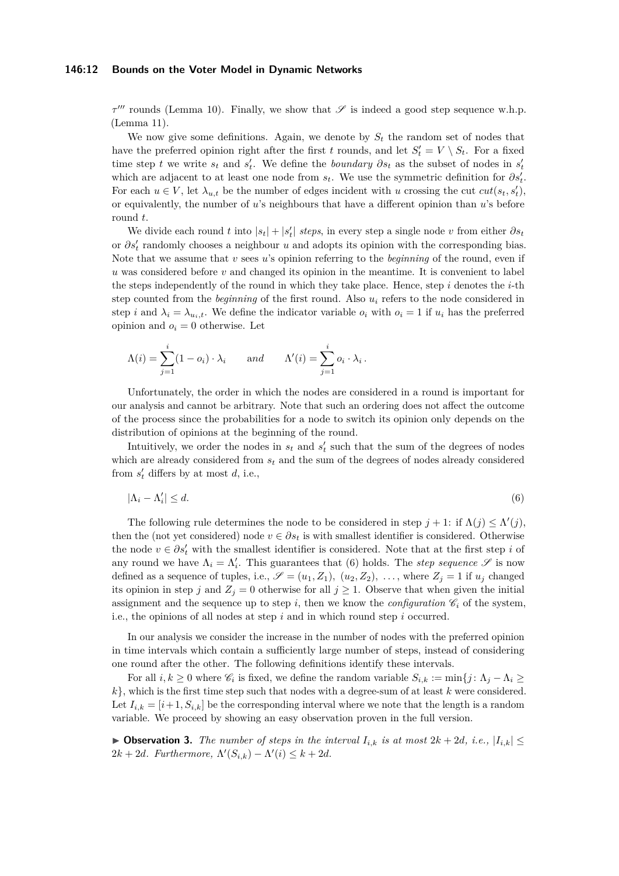#### **146:12 Bounds on the Voter Model in Dynamic Networks**

 $\tau^{\prime\prime\prime}$  rounds (Lemma [10\)](#page-12-3). Finally, we show that  $\mathscr S$  is indeed a good step sequence w.h.p. (Lemma [11\)](#page-12-4).

We now give some definitions. Again, we denote by  $S_t$  the random set of nodes that have the preferred opinion right after the first *t* rounds, and let  $S_t' = V \setminus S_t$ . For a fixed time step *t* we write  $s_t$  and  $s'_t$ . We define the *boundary*  $\partial s_t$  as the subset of nodes in  $s'_t$ which are adjacent to at least one node from  $s_t$ . We use the symmetric definition for  $\partial s'_t$ . For each  $u \in V$ , let  $\lambda_{u,t}$  be the number of edges incident with *u* crossing the cut  $cut(s_t, s'_t)$ , or equivalently, the number of *u*'s neighbours that have a different opinion than *u*'s before round *t*.

We divide each round *t* into  $|s_t| + |s'_t|$  *steps*, in every step a single node *v* from either  $\partial s_t$ or  $\partial s'_t$  randomly chooses a neighbour *u* and adopts its opinion with the corresponding bias. Note that we assume that *v* sees *u*'s opinion referring to the *beginning* of the round, even if *u* was considered before *v* and changed its opinion in the meantime. It is convenient to label the steps independently of the round in which they take place. Hence, step *i* denotes the *i*-th step counted from the *beginning* of the first round. Also *u<sup>i</sup>* refers to the node considered in step *i* and  $\lambda_i = \lambda_{u_i,t}$ . We define the indicator variable  $o_i$  with  $o_i = 1$  if  $u_i$  has the preferred opinion and  $o_i = 0$  otherwise. Let

$$
\Lambda(i) = \sum_{j=1}^{i} (1 - o_i) \cdot \lambda_i \quad \text{and} \quad \Lambda'(i) = \sum_{j=1}^{i} o_i \cdot \lambda_i.
$$

Unfortunately, the order in which the nodes are considered in a round is important for our analysis and cannot be arbitrary. Note that such an ordering does not affect the outcome of the process since the probabilities for a node to switch its opinion only depends on the distribution of opinions at the beginning of the round.

Intuitively, we order the nodes in  $s_t$  and  $s'_t$  such that the sum of the degrees of nodes which are already considered from *s<sup>t</sup>* and the sum of the degrees of nodes already considered from  $s_t'$  differs by at most  $d$ , i.e.,

<span id="page-11-0"></span>
$$
|\Lambda_i - \Lambda_i'| \le d. \tag{6}
$$

The following rule determines the node to be considered in step  $j + 1$ : if  $\Lambda(j) \leq \Lambda'(j)$ , then the (not yet considered) node  $v \in \partial s_t$  is with smallest identifier is considered. Otherwise the node  $v \in \partial s'_t$  with the smallest identifier is considered. Note that at the first step *i* of any round we have  $\Lambda_i = \Lambda'_i$ . This guarantees that [\(6\)](#page-11-0) holds. The *step sequence*  $\mathscr S$  is now defined as a sequence of tuples, i.e.,  $\mathscr{S} = (u_1, Z_1), (u_2, Z_2), \ldots$ , where  $Z_i = 1$  if  $u_i$  changed its opinion in step *j* and  $Z_j = 0$  otherwise for all  $j \geq 1$ . Observe that when given the initial assignment and the sequence up to step *i*, then we know the *configuration*  $\mathscr{C}_i$  of the system, i.e., the opinions of all nodes at step *i* and in which round step *i* occurred.

In our analysis we consider the increase in the number of nodes with the preferred opinion in time intervals which contain a sufficiently large number of steps, instead of considering one round after the other. The following definitions identify these intervals.

For all  $i, k \geq 0$  where  $\mathscr{C}_i$  is fixed, we define the random variable  $S_{i,k} := \min\{j : \Lambda_j - \Lambda_i \geq 0\}$ *k*}, which is the first time step such that nodes with a degree-sum of at least *k* were considered. Let  $I_{i,k} = [i+1, S_{i,k}]$  be the corresponding interval where we note that the length is a random variable. We proceed by showing an easy observation proven in the full version.

▶ Observation 3. The number of steps in the interval  $I_{i,k}$  is at most  $2k + 2d$ , i.e.,  $|I_{i,k}|$  ≤  $2k + 2d$ *. Furthermore,*  $\Lambda'(S_{i,k}) - \Lambda'(i) \leq k + 2d$ .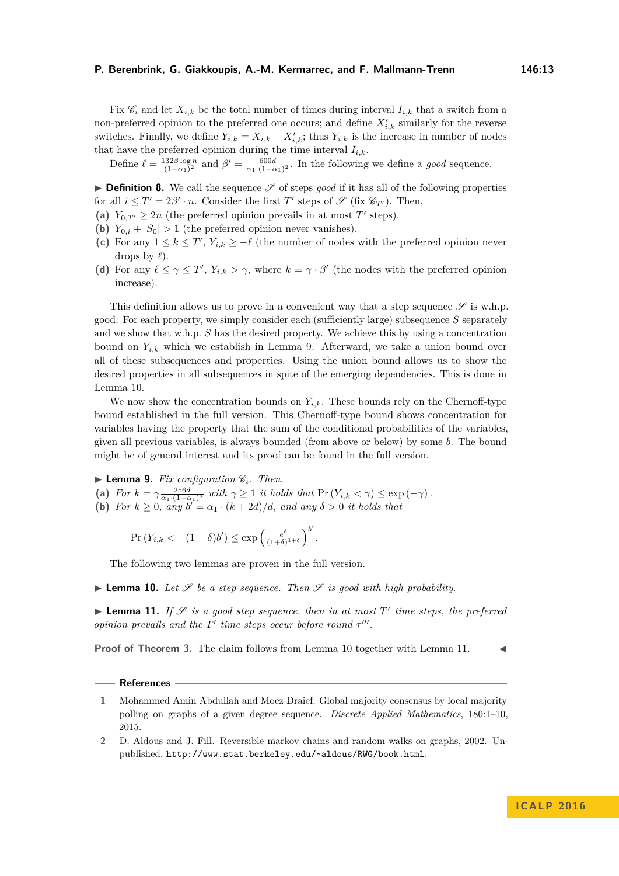Fix  $\mathscr{C}_i$  and let  $X_{i,k}$  be the total number of times during interval  $I_{i,k}$  that a switch from a non-preferred opinion to the preferred one occurs; and define  $X'_{i,k}$  similarly for the reverse switches. Finally, we define  $Y_{i,k} = X_{i,k} - X'_{i,k}$ ; thus  $Y_{i,k}$  is the increase in number of nodes that have the preferred opinion during the time interval  $I_{i,k}$ .

Define  $\ell = \frac{132\beta \log n}{(1-\alpha_1)^2}$  and  $\beta' = \frac{600d}{\alpha_1 \cdot (1-\alpha_1)^2}$ . In the following we define a *good* sequence.

<span id="page-12-2"></span>**Definition 8.** We call the sequence  $S$  of steps *good* if it has all of the following properties for all  $i \leq T' = 2\beta' \cdot n$ . Consider the first  $T'$  steps of  $\mathscr{S}$  (fix  $\mathscr{C}_{T'}$ ). Then,

- (a)  $Y_{0,T'} \geq 2n$  (the preferred opinion prevails in at most *T'* steps).
- **(b)**  $Y_{0,i} + |S_0| > 1$  (the preferred opinion never vanishes).
- (c) For any  $1 \leq k \leq T'$ ,  $Y_{i,k} \geq -\ell$  (the number of nodes with the preferred opinion never drops by  $\ell$ ).
- (d) For any  $\ell \leq \gamma \leq T'$ ,  $Y_{i,k} > \gamma$ , where  $k = \gamma \cdot \beta'$  (the nodes with the preferred opinion increase).

This definition allows us to prove in a convenient way that a step sequence  $\mathscr S$  is w.h.p. good: For each property, we simply consider each (sufficiently large) subsequence *S* separately and we show that w.h.p. *S* has the desired property. We achieve this by using a concentration bound on *Yi,k* which we establish in Lemma [9.](#page-12-5) Afterward, we take a union bound over all of these subsequences and properties. Using the union bound allows us to show the desired properties in all subsequences in spite of the emerging dependencies. This is done in Lemma [10.](#page-12-3)

We now show the concentration bounds on  $Y_{i,k}$ . These bounds rely on the Chernoff-type bound established in the full version. This Chernoff-type bound shows concentration for variables having the property that the sum of the conditional probabilities of the variables, given all previous variables, is always bounded (from above or below) by some *b*. The bound might be of general interest and its proof can be found in the full version.

<span id="page-12-5"></span> $\blacktriangleright$  **Lemma 9.** *Fix configuration*  $\mathcal{C}_i$ *. Then,* 

- **(a)**  $For \ k = \gamma \frac{256d}{\alpha_1 \cdot (1-\alpha_1)^2} \ with \ \gamma \ge 1 \ it \ holds \ that \ Pr\left(Y_{i,k} < \gamma\right) \le \exp\left(-\gamma\right).$
- (b) For  $k \geq 0$ , any  $b' = \alpha_1 \cdot (k + 2d)/d$ , and any  $\delta > 0$  it holds that

$$
\Pr(Y_{i,k} < -(1+\delta)b') \le \exp\left(\frac{e^{\delta}}{(1+\delta)^{1+\delta}}\right)^{b'}.
$$

The following two lemmas are proven in the full version.

<span id="page-12-3"></span>**Lemma 10.** Let  $\mathcal{S}$  be a step sequence. Then  $\mathcal{S}$  is good with high probability.

<span id="page-12-4"></span> $\blacktriangleright$  **Lemma 11.** If  $\mathscr S$  is a good step sequence, then in at most  $T'$  time steps, the preferred *opinion prevails and the*  $T'$  *time steps occur before round*  $\tau'''$ *.* 

**Proof of Theorem [3.](#page-4-2)** The claim follows from Lemma [10](#page-12-3) together with Lemma [11.](#page-12-4)

#### **References**

<span id="page-12-0"></span>**2** D. Aldous and J. Fill. Reversible markov chains and random walks on graphs, 2002. Unpublished. <http://www.stat.berkeley.edu/~aldous/RWG/book.html>.

<span id="page-12-1"></span>**<sup>1</sup>** Mohammed Amin Abdullah and Moez Draief. Global majority consensus by local majority polling on graphs of a given degree sequence. *Discrete Applied Mathematics*, 180:1–10, 2015.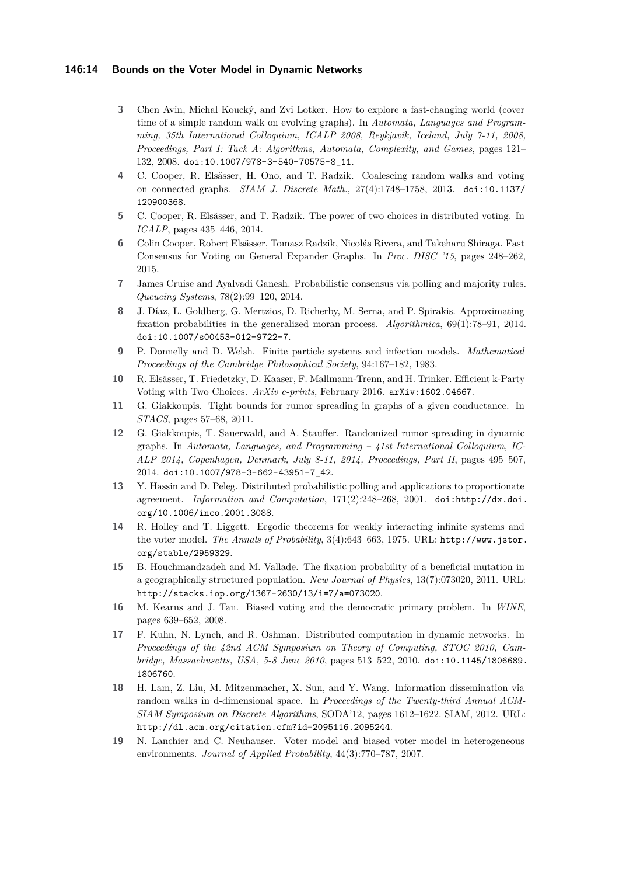#### **146:14 Bounds on the Voter Model in Dynamic Networks**

- <span id="page-13-13"></span>**3** Chen Avin, Michal Koucký, and Zvi Lotker. How to explore a fast-changing world (cover time of a simple random walk on evolving graphs). In *Automata, Languages and Programming, 35th International Colloquium, ICALP 2008, Reykjavik, Iceland, July 7-11, 2008, Proceedings, Part I: Tack A: Algorithms, Automata, Complexity, and Games*, pages 121– 132, 2008. [doi:10.1007/978-3-540-70575-8\\_11](http://dx.doi.org/10.1007/978-3-540-70575-8_11).
- <span id="page-13-5"></span>**4** C. Cooper, R. Elsässer, H. Ono, and T. Radzik. Coalescing random walks and voting on connected graphs. *SIAM J. Discrete Math.*, 27(4):1748–1758, 2013. [doi:10.1137/](http://dx.doi.org/10.1137/120900368) [120900368](http://dx.doi.org/10.1137/120900368).
- <span id="page-13-6"></span>**5** C. Cooper, R. Elsässer, and T. Radzik. The power of two choices in distributed voting. In *ICALP*, pages 435–446, 2014.
- <span id="page-13-8"></span>**6** Colin Cooper, Robert Elsässer, Tomasz Radzik, Nicolás Rivera, and Takeharu Shiraga. Fast Consensus for Voting on General Expander Graphs. In *Proc. DISC '15*, pages 248–262, 2015.
- <span id="page-13-7"></span>**7** James Cruise and Ayalvadi Ganesh. Probabilistic consensus via polling and majority rules. *Queueing Systems*, 78(2):99–120, 2014.
- <span id="page-13-11"></span>**8** J. Díaz, L. Goldberg, G. Mertzios, D. Richerby, M. Serna, and P. Spirakis. Approximating fixation probabilities in the generalized moran process. *Algorithmica*, 69(1):78–91, 2014. [doi:10.1007/s00453-012-9722-7](http://dx.doi.org/10.1007/s00453-012-9722-7).
- <span id="page-13-4"></span>**9** P. Donnelly and D. Welsh. Finite particle systems and infection models. *Mathematical Proceedings of the Cambridge Philosophical Society*, 94:167–182, 1983.
- <span id="page-13-9"></span>**10** R. Elsässer, T. Friedetzky, D. Kaaser, F. Mallmann-Trenn, and H. Trinker. Efficient k-Party Voting with Two Choices. *ArXiv e-prints*, February 2016. [arXiv:1602.04667](http://arxiv.org/abs/1602.04667).
- <span id="page-13-16"></span>**11** G. Giakkoupis. Tight bounds for rumor spreading in graphs of a given conductance. In *STACS*, pages 57–68, 2011.
- <span id="page-13-12"></span>**12** G. Giakkoupis, T. Sauerwald, and A. Stauffer. Randomized rumor spreading in dynamic graphs. In *Automata, Languages, and Programming – 41st International Colloquium, IC-ALP 2014, Copenhagen, Denmark, July 8-11, 2014, Proceedings, Part II*, pages 495–507, 2014. [doi:10.1007/978-3-662-43951-7\\_42](http://dx.doi.org/10.1007/978-3-662-43951-7_42).
- <span id="page-13-0"></span>**13** Y. Hassin and D. Peleg. Distributed probabilistic polling and applications to proportionate agreement. *Information and Computation*, 171(2):248–268, 2001. [doi:http://dx.doi.](http://dx.doi.org/http://dx.doi.org/10.1006/inco.2001.3088) [org/10.1006/inco.2001.3088](http://dx.doi.org/http://dx.doi.org/10.1006/inco.2001.3088).
- <span id="page-13-3"></span>**14** R. Holley and T. Liggett. Ergodic theorems for weakly interacting infinite systems and the voter model. *The Annals of Probability*, 3(4):643–663, 1975. URL: [http://www.jstor.](http://www.jstor.org/stable/2959329) [org/stable/2959329](http://www.jstor.org/stable/2959329).
- <span id="page-13-10"></span>**15** B. Houchmandzadeh and M. Vallade. The fixation probability of a beneficial mutation in a geographically structured population. *New Journal of Physics*, 13(7):073020, 2011. URL: <http://stacks.iop.org/1367-2630/13/i=7/a=073020>.
- <span id="page-13-2"></span>**16** M. Kearns and J. Tan. Biased voting and the democratic primary problem. In *WINE*, pages 639–652, 2008.
- <span id="page-13-14"></span>**17** F. Kuhn, N. Lynch, and R. Oshman. Distributed computation in dynamic networks. In *Proceedings of the 42nd ACM Symposium on Theory of Computing, STOC 2010, Cambridge, Massachusetts, USA, 5-8 June 2010*, pages 513–522, 2010. [doi:10.1145/1806689.](http://dx.doi.org/10.1145/1806689.1806760) [1806760](http://dx.doi.org/10.1145/1806689.1806760).
- <span id="page-13-15"></span>**18** H. Lam, Z. Liu, M. Mitzenmacher, X. Sun, and Y. Wang. Information dissemination via random walks in d-dimensional space. In *Proceedings of the Twenty-third Annual ACM-SIAM Symposium on Discrete Algorithms*, SODA'12, pages 1612–1622. SIAM, 2012. URL: <http://dl.acm.org/citation.cfm?id=2095116.2095244>.
- <span id="page-13-1"></span>**19** N. Lanchier and C. Neuhauser. Voter model and biased voter model in heterogeneous environments. *Journal of Applied Probability*, 44(3):770–787, 2007.